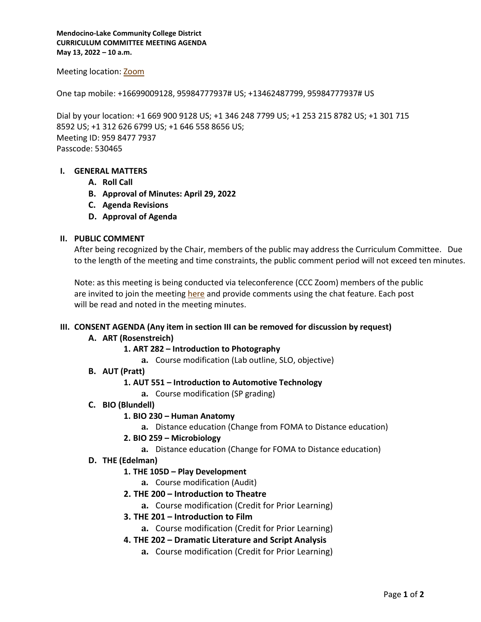**Mendocino-Lake Community College District CURRICULUM COMMITTEE MEETING AGENDA May 13, 2022 – 10 a.m.**

### Meeting location: [Zoom](https://mendocino-edu.zoom.us/j/95984777937?pwd=THR2dFYxSk5yQUdsVlVkS1U5b1Z6QT09)

One tap mobile: +16699009128, 95984777937# US; +13462487799, 95984777937# US

Dial by your location: +1 669 900 9128 US; +1 346 248 7799 US; +1 253 215 8782 US; +1 301 715 8592 US; +1 312 626 6799 US; +1 646 558 8656 US; Meeting ID: 959 8477 7937 Passcode: 530465

### **I. GENERAL MATTERS**

- **A. Roll Call**
- **B. Approval of Minutes: April 29, 2022**
- **C. Agenda Revisions**
- **D. Approval of Agenda**

### **II. PUBLIC COMMENT**

After being recognized by the Chair, members of the public may address the Curriculum Committee. Due to the length of the meeting and time constraints, the public comment period will not exceed ten minutes.

Note: as this meeting is being conducted via teleconference (CCC Zoom) members of the public are invited to join the meeting [here](https://mendocino-edu.zoom.us/j/95984777937?pwd=THR2dFYxSk5yQUdsVlVkS1U5b1Z6QT09) and provide comments using the chat feature. Each post will be read and noted in the meeting minutes.

### **III. CONSENT AGENDA (Any item in section III can be removed for discussion by request)**

# **A. ART (Rosenstreich)**

# **1. ART 282 – Introduction to Photography**

- **a.** Course modification (Lab outline, SLO, objective)
- **B. AUT (Pratt)**

# **1. AUT 551 – Introduction to Automotive Technology**

- **a.** Course modification (SP grading)
- **C. BIO (Blundell)**

# **1. BIO 230 – Human Anatomy**

- **a.** Distance education (Change from FOMA to Distance education)
- **2. BIO 259 – Microbiology** 
	- **a.** Distance education (Change for FOMA to Distance education)
- **D. THE (Edelman)**

# **1. THE 105D – Play Development**

- **a.** Course modification (Audit)
- **2. THE 200 – Introduction to Theatre**
	- **a.** Course modification (Credit for Prior Learning)
- **3. THE 201 – Introduction to Film**
	- **a.** Course modification (Credit for Prior Learning)

# **4. THE 202 – Dramatic Literature and Script Analysis**

**a.** Course modification (Credit for Prior Learning)